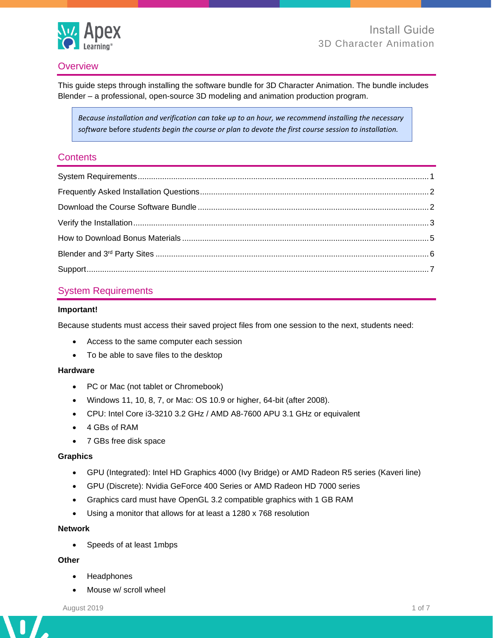

## **Overview**

This guide steps through installing the software bundle for 3D Character Animation. The bundle includes Blender – a professional, open-source 3D modeling and animation production program.

*Because installation and verification can take up to an hour, we recommend installing the necessary software* before *students begin the course or plan to devote the first course session to installation.*

### **Contents**

## <span id="page-0-0"></span>System Requirements

#### **Important!**

Because students must access their saved project files from one session to the next, students need:

- Access to the same computer each session
- To be able to save files to the desktop

#### **Hardware**

- PC or Mac (not tablet or Chromebook)
- Windows 11, 10, 8, 7, or Mac: OS 10.9 or higher, 64-bit (after 2008).
- CPU: Intel Core i3-3210 3.2 GHz / AMD A8-7600 APU 3.1 GHz or equivalent
- 4 GBs of RAM
- 7 GBs free disk space

#### **Graphics**

- GPU (Integrated): Intel HD Graphics 4000 (Ivy Bridge) or AMD Radeon R5 series (Kaveri line)
- GPU (Discrete): Nvidia GeForce 400 Series or AMD Radeon HD 7000 series
- Graphics card must have OpenGL 3.2 compatible graphics with 1 GB RAM
- Using a monitor that allows for at least a 1280 x 768 resolution

#### **Network**

• Speeds of at least 1mbps

#### **Other**

 $\mathbf{I}$ 

 $\overline{\phantom{a}}$ 

- Headphones
- Mouse w/ scroll wheel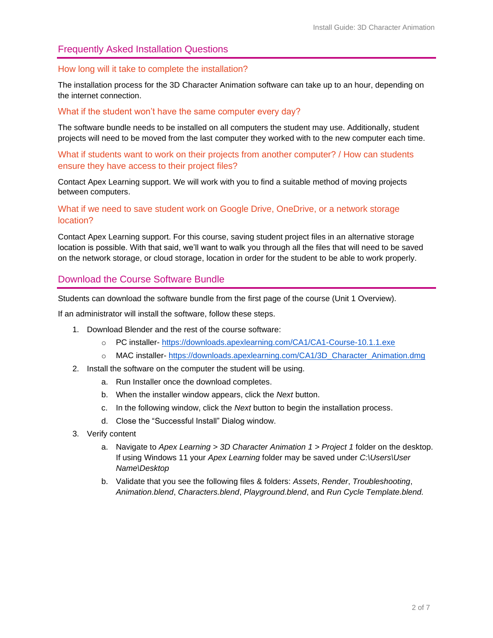## <span id="page-1-0"></span>Frequently Asked Installation Questions

#### How long will it take to complete the installation?

The installation process for the 3D Character Animation software can take up to an hour, depending on the internet connection.

#### What if the student won't have the same computer every day?

The software bundle needs to be installed on all computers the student may use. Additionally, student projects will need to be moved from the last computer they worked with to the new computer each time.

What if students want to work on their projects from another computer? / How can students ensure they have access to their project files?

<span id="page-1-1"></span>Contact Apex Learning support. We will work with you to find a suitable method of moving projects between computers.

### What if we need to save student work on Google Drive, OneDrive, or a network storage location?

Contact Apex Learning support. For this course, saving student project files in an alternative storage location is possible. With that said, we'll want to walk you through all the files that will need to be saved on the network storage, or cloud storage, location in order for the student to be able to work properly.

### Download the Course Software Bundle

Students can download the software bundle from the first page of the course (Unit 1 Overview).

If an administrator will install the software, follow these steps.

- 1. Download Blender and the rest of the course software:
	- o PC installer- <https://downloads.apexlearning.com/CA1/CA1-Course-10.1.1.exe>
	- o MAC installer- [https://downloads.apexlearning.com/CA1/3D\\_Character\\_Animation.dmg](https://downloads.apexlearning.com/CA1/3D_Character_Animation.dmg)
- 2. Install the software on the computer the student will be using.
	- a. Run Installer once the download completes.
	- b. When the installer window appears, click the *Next* button.
	- c. In the following window, click the *Next* button to begin the installation process.
	- d. Close the "Successful Install" Dialog window.
- 3. Verify content
	- a. Navigate to *Apex Learning > 3D Character Animation 1 > Project 1* folder on the desktop. If using Windows 11 your *Apex Learning* folder may be saved under *C:\Users\User Name\Desktop*
	- b. Validate that you see the following files & folders: *Assets*, *Render*, *Troubleshooting*, *Animation.blend*, *Characters.blend*, *Playground.blend*, and *Run Cycle Template.blend.*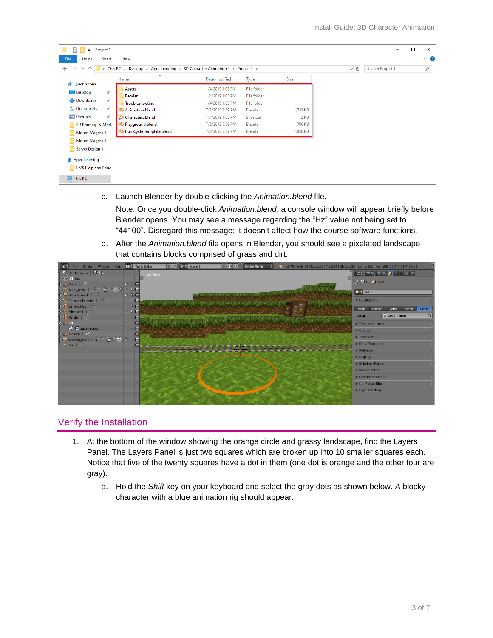| Project 1<br>$\overline{\mathbf{v}}$<br>✓                   |                                                                              |                  |                    |          |          |                  | п | $\times$ |
|-------------------------------------------------------------|------------------------------------------------------------------------------|------------------|--------------------|----------|----------|------------------|---|----------|
| Home<br>File<br>Share                                       | View                                                                         |                  |                    |          |          |                  |   | $\vee$ 0 |
| $\leftarrow$<br>$\rightarrow$<br>$\uparrow$<br>$\checkmark$ | $\rightarrow$ This PC > Desktop > Apex Learning > 3D Character Animation 1 > |                  | Project 1 >        |          | $\vee$ 0 | Search Project 1 |   | مر       |
|                                                             | $\widehat{\phantom{a}}$<br>Name                                              | Date modified    | Type               | Size     |          |                  |   |          |
| <b>Quick access</b><br>Desktop<br>À                         | Assets                                                                       | 1/4/2019 1:03 PM | File folder        |          |          |                  |   |          |
|                                                             | Render                                                                       | 1/4/2019 1:03 PM | <b>File folder</b> |          |          |                  |   |          |
| Downloads<br>st.                                            | Troubleshooting                                                              | 1/4/2019 1:03 PM | <b>File folder</b> |          |          |                  |   |          |
| Documents<br>À.                                             | <b>C</b> Animation.blend                                                     | 7/2/2018 7:59 PM | Blender            | 1,743 KB |          |                  |   |          |
| $\equiv$ Pictures<br>À.                                     | Characters.blend                                                             | 1/4/2019 1:03 PM | Shortcut           | 2 KB     |          |                  |   |          |
| 3D Printing & Mod                                           | Playground.blend                                                             | 7/2/2018 7:59 PM | Blender            | 706 KB   |          |                  |   |          |
| Mount Magma 1                                               | Run Cycle Template.blend                                                     | 7/2/2018 7:59 PM | Blender            | 1,836 KB |          |                  |   |          |
| Mount Magma 1 - 1                                           |                                                                              |                  |                    |          |          |                  |   |          |
| Server Design 1                                             |                                                                              |                  |                    |          |          |                  |   |          |
| <b>Apex Learning</b>                                        |                                                                              |                  |                    |          |          |                  |   |          |
| <b>LMS Help and Educ</b>                                    |                                                                              |                  |                    |          |          |                  |   |          |
|                                                             |                                                                              |                  |                    |          |          |                  |   |          |
| $\Box$ This PC                                              |                                                                              |                  |                    |          |          |                  |   |          |

c. Launch Blender by double-clicking the *Animation.blend* file.

Note: Once you double-click *Animation.blend*, a console window will appear briefly before Blender opens. You may see a message regarding the "Hz" value not being set to "44100". Disregard this message; it doesn't affect how the course software functions.

d. After the *Animation.blend* file opens in Blender, you should see a pixelated landscape that contains blocks comprised of grass and dirt.

| $\sqrt{6}$ + File Render Window Help $\frac{1}{2}$ World Editor                                            |                           | $+\times$ $\frac{1}{6}$ Scene 1<br>$2 + 8$<br>Cycles Render<br>20 v2.79   Verts:56   Faces:52   Tris:104   Objects:0/7   Lamps:0/1   Mem:280.72M (1.11M)   Set 1 |                                                                                                                                                                                   |
|------------------------------------------------------------------------------------------------------------|---------------------------|------------------------------------------------------------------------------------------------------------------------------------------------------------------|-----------------------------------------------------------------------------------------------------------------------------------------------------------------------------------|
| o 27 RenderLayers   2 图                                                                                    |                           | User Persp                                                                                                                                                       | $\left[\begin{array}{c c} \Box\ \ast\end{array}\right]\boxtimes\mathbb{R}$ , $\boxdot\ \top$ , $\otimes$ , $\boxdot\ \top$ , $\otimes$ , $\otimes$ , $\otimes$                    |
| $\bigodot$ $\bigodot$ Day                                                                                  |                           |                                                                                                                                                                  | $x^*$ $y$ $\in$ $\mathbb{C}$ set 1                                                                                                                                                |
| o A Alexa   O                                                                                              | 0.15                      |                                                                                                                                                                  |                                                                                                                                                                                   |
| ● 大 Alexa proxy   ジ ※ 値 7 次 な ● ト 向                                                                        |                           |                                                                                                                                                                  | $\begin{array}{ c c c }\n\hline\n\end{array}$ $\begin{array}{ c c }\n\hline\n\end{array}$ $\begin{array}{ c c }\n\hline\n\end{array}$ $\begin{array}{ c c }\n\hline\n\end{array}$ |
| $\stackrel{\circ}{\bullet}\stackrel{\nabla}{\rightharpoondown}$ Block Scene $1 \mid \stackrel{\sim}{\vee}$ | $0 k$ 131                 |                                                                                                                                                                  |                                                                                                                                                                                   |
| <b>O</b> Camera Character                                                                                  | $-15$                     |                                                                                                                                                                  | <b>V</b> Duplication                                                                                                                                                              |
| o Camera Mob                                                                                               | $-85$                     |                                                                                                                                                                  | Verts<br>None<br>Frames<br>Faces<br>Group                                                                                                                                         |
| $\circ$ V Minecart $1 \mid \vee$                                                                           | 0 k                       |                                                                                                                                                                  | Set 1 - Forest<br> z <br>Group:                                                                                                                                                   |
| $\circ$ $\bullet$ Render $\vdash$                                                                          | 一下同                       |                                                                                                                                                                  |                                                                                                                                                                                   |
| $0 - 1$ Set 1                                                                                              | $\bullet$ $\mid$ $\sigma$ |                                                                                                                                                                  | Transform Locks                                                                                                                                                                   |
| $\bigcirc$ $\bigcirc$ Set 1 - Forest                                                                       | $R_{100}$                 |                                                                                                                                                                  | $\blacktriangleright$ Groups                                                                                                                                                      |
| o & Stephen   O                                                                                            | $\circ$ $\uparrow$ 5      |                                                                                                                                                                  | $\blacktriangleright$ Transform                                                                                                                                                   |
| ● 大 stephen proxy   ♂ ※ 衝 次 赤 • ⊙ k 向<br>$0$ $\frac{6}{5}$ Sun   $\frac{1}{20}$                            | $\boxed{5}$               |                                                                                                                                                                  | Delta Transform                                                                                                                                                                   |
|                                                                                                            |                           |                                                                                                                                                                  | $\blacktriangleright$ Relations                                                                                                                                                   |
|                                                                                                            |                           |                                                                                                                                                                  |                                                                                                                                                                                   |
|                                                                                                            |                           |                                                                                                                                                                  | $\blacktriangleright$ Display                                                                                                                                                     |
|                                                                                                            |                           |                                                                                                                                                                  | Relations Extras                                                                                                                                                                  |
|                                                                                                            |                           |                                                                                                                                                                  | Motion Paths                                                                                                                                                                      |
|                                                                                                            |                           |                                                                                                                                                                  | Custom Properties                                                                                                                                                                 |
|                                                                                                            |                           |                                                                                                                                                                  | $\blacktriangleright \blacktriangleright$ Motion Blur                                                                                                                             |
|                                                                                                            |                           |                                                                                                                                                                  | Cycles Settings                                                                                                                                                                   |
|                                                                                                            |                           |                                                                                                                                                                  |                                                                                                                                                                                   |
|                                                                                                            |                           |                                                                                                                                                                  |                                                                                                                                                                                   |

# <span id="page-2-0"></span>Verify the Installation

- 1. At the bottom of the window showing the orange circle and grassy landscape, find the Layers Panel. The Layers Panel is just two squares which are broken up into 10 smaller squares each. Notice that five of the twenty squares have a dot in them (one dot is orange and the other four are gray).
	- a. Hold the *Shift* key on your keyboard and select the gray dots as shown below. A blocky character with a blue animation rig should appear.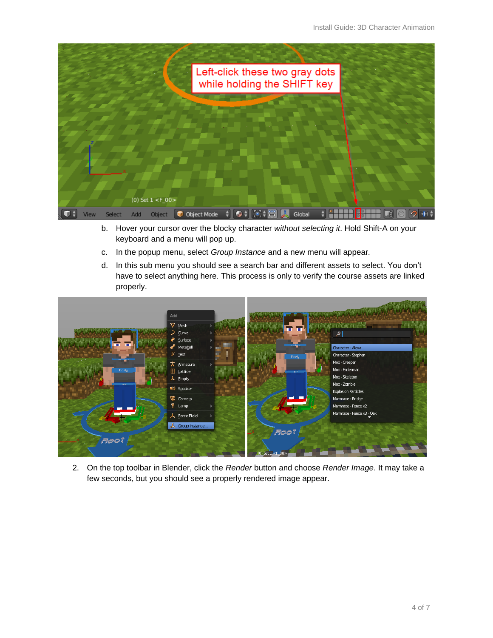

- b. Hover your cursor over the blocky character *without selecting it*. Hold Shift-A on your keyboard and a menu will pop up.
- c. In the popup menu, select *Group Instance* and a new menu will appear*.*
- d. In this sub menu you should see a search bar and different assets to select. You don't have to select anything here. This process is only to verify the course assets are linked properly.



2. On the top toolbar in Blender, click the *Render* button and choose *Render Image*. It may take a few seconds, but you should see a properly rendered image appear.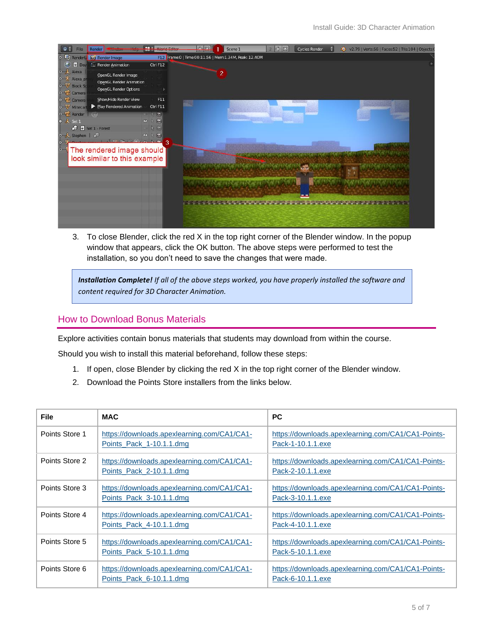| RenderL <b>for Render Image</b><br>Frame:0   Time:00:11.56   Mem:1.34M, Peak: 12.40M<br>$\ddot{\bullet}$<br>$\odot$<br>Render Animation<br>$\Box$ Day<br>Ctrl F12<br><b>O</b> Alexa<br>$\overline{2}$<br>OpenGL Render Image<br>• 大 Alexa_pr<br><b>OpenGL Render Animation</b><br>$\bullet$ $\nabla$ Block Sc<br><b>OpenGL Render Options</b><br><b>O</b> Camera<br>o <sup>c</sup> Camera<br>Show/Hide Render View<br>F11<br>Play Rendered Animation<br><b>◆ V</b> Minecart<br>Ctrl F11<br>囥<br>同<br>D.<br>$\bullet$<br>$0$ $5$ Set 1 - Forest<br>伤<br>同<br><b>O J</b> Stephen   ∂D<br>$\bullet$<br>Second the Contract 3<br>$\ddot{\bullet}$<br>The rendered image should<br>look similar to this example | <b>File</b> | Render<br><b><i>ENTERTAINMENT</i></b> | <b>ATTA</b><br><b>Allandal California</b> | $-182$<br>Scene 1 | 2 中 8 | <b>Cycles Render</b> | $\ddot{\bullet}$<br>v2.79   Verts:56   Faces:52   Tris:104   Objects: |  |
|------------------------------------------------------------------------------------------------------------------------------------------------------------------------------------------------------------------------------------------------------------------------------------------------------------------------------------------------------------------------------------------------------------------------------------------------------------------------------------------------------------------------------------------------------------------------------------------------------------------------------------------------------------------------------------------------------------|-------------|---------------------------------------|-------------------------------------------|-------------------|-------|----------------------|-----------------------------------------------------------------------|--|
|                                                                                                                                                                                                                                                                                                                                                                                                                                                                                                                                                                                                                                                                                                            |             |                                       |                                           |                   |       |                      |                                                                       |  |
|                                                                                                                                                                                                                                                                                                                                                                                                                                                                                                                                                                                                                                                                                                            |             |                                       |                                           |                   |       |                      |                                                                       |  |
|                                                                                                                                                                                                                                                                                                                                                                                                                                                                                                                                                                                                                                                                                                            |             |                                       |                                           |                   |       |                      |                                                                       |  |
| <b>O</b> Render <b>Lead</b><br>$\circ \downarrow$ Set 1                                                                                                                                                                                                                                                                                                                                                                                                                                                                                                                                                                                                                                                    |             |                                       |                                           |                   |       |                      |                                                                       |  |
|                                                                                                                                                                                                                                                                                                                                                                                                                                                                                                                                                                                                                                                                                                            |             |                                       |                                           |                   |       |                      |                                                                       |  |
|                                                                                                                                                                                                                                                                                                                                                                                                                                                                                                                                                                                                                                                                                                            |             |                                       |                                           |                   |       |                      |                                                                       |  |
|                                                                                                                                                                                                                                                                                                                                                                                                                                                                                                                                                                                                                                                                                                            |             |                                       |                                           |                   |       |                      |                                                                       |  |
|                                                                                                                                                                                                                                                                                                                                                                                                                                                                                                                                                                                                                                                                                                            |             |                                       |                                           |                   |       |                      |                                                                       |  |
|                                                                                                                                                                                                                                                                                                                                                                                                                                                                                                                                                                                                                                                                                                            |             |                                       |                                           |                   |       |                      |                                                                       |  |
|                                                                                                                                                                                                                                                                                                                                                                                                                                                                                                                                                                                                                                                                                                            |             |                                       |                                           |                   |       |                      |                                                                       |  |
|                                                                                                                                                                                                                                                                                                                                                                                                                                                                                                                                                                                                                                                                                                            |             |                                       |                                           |                   |       |                      |                                                                       |  |
|                                                                                                                                                                                                                                                                                                                                                                                                                                                                                                                                                                                                                                                                                                            |             |                                       |                                           |                   |       |                      |                                                                       |  |
| and production to the month of the control of the control of the control of the control of the                                                                                                                                                                                                                                                                                                                                                                                                                                                                                                                                                                                                             |             |                                       |                                           |                   |       |                      |                                                                       |  |
|                                                                                                                                                                                                                                                                                                                                                                                                                                                                                                                                                                                                                                                                                                            |             |                                       |                                           |                   |       |                      |                                                                       |  |

3. To close Blender, click the red X in the top right corner of the Blender window. In the popup window that appears, click the OK button. The above steps were performed to test the installation, so you don't need to save the changes that were made.

*Installation Complete! If all of the above steps worked, you have properly installed the software and content required for 3D Character Animation.* 

## <span id="page-4-0"></span>How to Download Bonus Materials

Explore activities contain bonus materials that students may download from within the course.

Should you wish to install this material beforehand, follow these steps:

- 1. If open, close Blender by clicking the red X in the top right corner of the Blender window.
- 2. Download the Points Store installers from the links below.

| <b>File</b>    | <b>MAC</b>                                                              | <b>PC</b>                                                               |
|----------------|-------------------------------------------------------------------------|-------------------------------------------------------------------------|
| Points Store 1 | https://downloads.apexlearning.com/CA1/CA1-<br>Points_Pack_1-10.1.1.dmg | https://downloads.apexlearning.com/CA1/CA1-Points-<br>Pack-1-10.1.1.exe |
| Points Store 2 | https://downloads.apexlearning.com/CA1/CA1-<br>Points Pack 2-10.1.1.dmg | https://downloads.apexlearning.com/CA1/CA1-Points-<br>Pack-2-10.1.1.exe |
| Points Store 3 | https://downloads.apexlearning.com/CA1/CA1-<br>Points Pack 3-10.1.1.dmg | https://downloads.apexlearning.com/CA1/CA1-Points-<br>Pack-3-10.1.1.exe |
| Points Store 4 | https://downloads.apexlearning.com/CA1/CA1-<br>Points Pack 4-10.1.1.dmg | https://downloads.apexlearning.com/CA1/CA1-Points-<br>Pack-4-10.1.1.exe |
| Points Store 5 | https://downloads.apexlearning.com/CA1/CA1-<br>Points Pack 5-10.1.1.dmg | https://downloads.apexlearning.com/CA1/CA1-Points-<br>Pack-5-10.1.1.exe |
| Points Store 6 | https://downloads.apexlearning.com/CA1/CA1-<br>Points Pack 6-10.1.1.dmg | https://downloads.apexlearning.com/CA1/CA1-Points-<br>Pack-6-10.1.1.exe |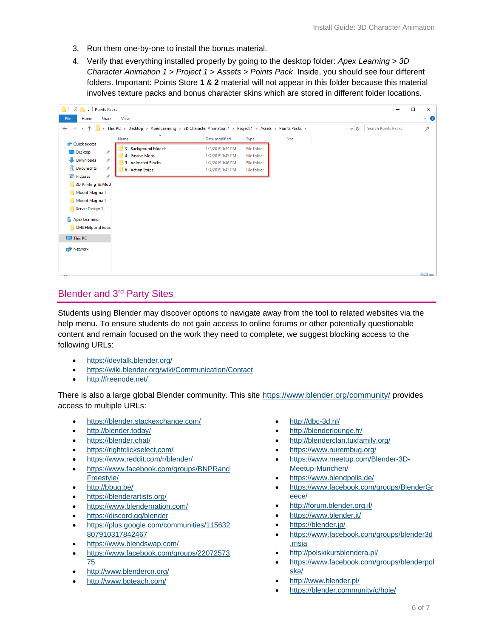- 3. Run them one-by-one to install the bonus material.
- 4. Verify that everything installed properly by going to the desktop folder: *Apex Learning > 3D Character Animation 1 > Project 1 > Assets > Points Pack*. Inside, you should see four different folders. Important: Points Store **1** & **2** material will not appear in this folder because this material involves texture packs and bonus character skins which are stored in different folder locations.

| Points Packs<br>$\overline{\phantom{a}}$    |                                                                                                      |                                      |                            |      |          | $\Box$              | $\times$ |           |
|---------------------------------------------|------------------------------------------------------------------------------------------------------|--------------------------------------|----------------------------|------|----------|---------------------|----------|-----------|
| File<br>Share<br>View<br>Home               |                                                                                                      |                                      |                            |      |          |                     |          | $\vee$ 0  |
| <b>v</b> 个<br>$\rightarrow$<br>$\leftarrow$ | > This PC > Desktop > Apex Learning > 3D Character Animation 1 > Project 1 > Assets > Points Packs > |                                      |                            |      | $\sim$ ö | Search Points Packs |          | $\varphi$ |
|                                             | $\widehat{\phantom{a}}$<br>Name                                                                      | Date modified                        | Type                       | Size |          |                     |          |           |
| <b>Quick access</b><br>Desktop<br>À.        | 3 - Background Models<br>4 - Passive Mobs                                                            | 1/4/2019 1:44 PM<br>1/4/2019 1:45 PM | File folder<br>File folder |      |          |                     |          |           |
| Downloads<br>À.<br><b>Documents</b><br>À.   | 5 - Animated Blocks<br>6 - Action Strips                                                             | 1/4/2019 1:46 PM<br>1/4/2019 1:47 PM | File folder<br>File folder |      |          |                     |          |           |
| Pictures<br>À.                              |                                                                                                      |                                      |                            |      |          |                     |          |           |
| 3D Printing & Mod<br>Mount Magma 1          |                                                                                                      |                                      |                            |      |          |                     |          |           |
| Mount Magma 1 - 1<br>Server Design 1        |                                                                                                      |                                      |                            |      |          |                     |          |           |
| Apex Learning                               |                                                                                                      |                                      |                            |      |          |                     |          |           |
| LMS Help and Educ                           |                                                                                                      |                                      |                            |      |          |                     |          |           |
| $\Box$ This PC                              |                                                                                                      |                                      |                            |      |          |                     |          |           |
| Network                                     |                                                                                                      |                                      |                            |      |          |                     |          |           |
|                                             |                                                                                                      |                                      |                            |      |          |                     |          |           |

# <span id="page-5-0"></span>Blender and 3rd Party Sites

Students using Blender may discover options to navigate away from the tool to related websites via the help menu. To ensure students do not gain access to online forums or other potentially questionable content and remain focused on the work they need to complete, we suggest blocking access to the following URLs:

- <https://devtalk.blender.org/>
- <https://wiki.blender.org/wiki/Communication/Contact>
- <http://freenode.net/>

There is also a large global Blender community. This site<https://www.blender.org/community/> provides access to multiple URLs:

- <https://blender.stackexchange.com/>
- <http://blender.today/>
- <https://blender.chat/>
- <https://rightclickselect.com/>
- <https://www.reddit.com/r/blender/>
- [https://www.facebook.com/groups/BNPRand](https://www.facebook.com/groups/BNPRandFreestyle/) [Freestyle/](https://www.facebook.com/groups/BNPRandFreestyle/)
- <http://bbug.be/>
- <https://blenderartists.org/>
- <https://www.blendernation.com/>
- <https://discord.gg/blender>
- [https://plus.google.com/communities/115632](https://plus.google.com/communities/115632807910317842467) [807910317842467](https://plus.google.com/communities/115632807910317842467)
- <https://www.blendswap.com/>
- [https://www.facebook.com/groups/22072573](https://www.facebook.com/groups/2207257375) [75](https://www.facebook.com/groups/2207257375)
- <http://www.blendercn.org/>
- <http://www.bgteach.com/>
- <http://dbc-3d.nl/>
- <http://blenderlounge.fr/>
- <http://blenderclan.tuxfamily.org/>
- <https://www.nurembug.org/>
- [https://www.meetup.com/Blender-3D-](https://www.meetup.com/Blender-3D-Meetup-Munchen/)[Meetup-Munchen/](https://www.meetup.com/Blender-3D-Meetup-Munchen/)
- <https://www.blendpolis.de/>
- [https://www.facebook.com/groups/BlenderGr](https://www.facebook.com/groups/BlenderGreece/) [eece/](https://www.facebook.com/groups/BlenderGreece/)
- <http://forum.blender.org.il/>
- <https://www.blender.it/>
- <https://blender.jp/>
- [https://www.facebook.com/groups/blender3d](https://www.facebook.com/groups/blender3d.msia) [.msia](https://www.facebook.com/groups/blender3d.msia)
- <http://polskikursblendera.pl/>
- [https://www.facebook.com/groups/blenderpol](https://www.facebook.com/groups/blenderpolska/) [ska/](https://www.facebook.com/groups/blenderpolska/)
- <http://www.blender.pl/>
- <https://blender.community/c/hoje/>